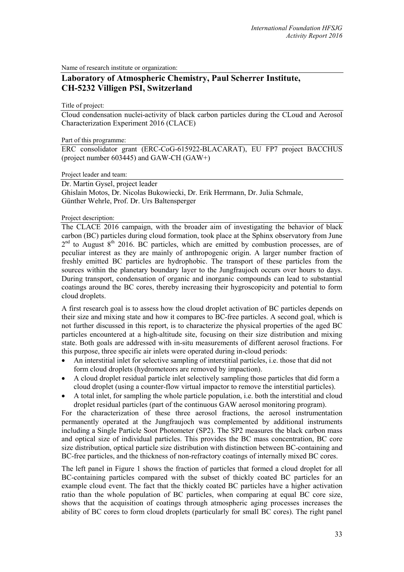Name of research institute or organization:

## **Laboratory of Atmospheric Chemistry, Paul Scherrer Institute, CH-5232 Villigen PSI, Switzerland**

Title of project:

Cloud condensation nuclei-activity of black carbon particles during the CLoud and Aerosol Characterization Experiment 2016 (CLACE)

Part of this programme:

ERC consolidator grant (ERC-CoG-615922-BLACARAT), EU FP7 project BACCHUS (project number 603445) and GAW-CH (GAW+)

Project leader and team:

Dr. Martin Gysel, project leader Ghislain Motos, Dr. Nicolas Bukowiecki, Dr. Erik Herrmann, Dr. Julia Schmale, Günther Wehrle, Prof. Dr. Urs Baltensperger

Project description:

The CLACE 2016 campaign, with the broader aim of investigating the behavior of black carbon (BC) particles during cloud formation, took place at the Sphinx observatory from June  $2<sup>nd</sup>$  to August 8<sup>th</sup> 2016. BC particles, which are emitted by combustion processes, are of peculiar interest as they are mainly of anthropogenic origin. A larger number fraction of freshly emitted BC particles are hydrophobic. The transport of these particles from the sources within the planetary boundary layer to the Jungfraujoch occurs over hours to days. During transport, condensation of organic and inorganic compounds can lead to substantial coatings around the BC cores, thereby increasing their hygroscopicity and potential to form cloud droplets.

A first research goal is to assess how the cloud droplet activation of BC particles depends on their size and mixing state and how it compares to BC-free particles. A second goal, which is not further discussed in this report, is to characterize the physical properties of the aged BC particles encountered at a high-altitude site, focusing on their size distribution and mixing state. Both goals are addressed with in-situ measurements of different aerosol fractions. For this purpose, three specific air inlets were operated during in-cloud periods:

- An interstitial inlet for selective sampling of interstitial particles, i.e. those that did not form cloud droplets (hydrometeors are removed by impaction).
- A cloud droplet residual particle inlet selectively sampling those particles that did form a cloud droplet (using a counter-flow virtual impactor to remove the interstitial particles).
- A total inlet, for sampling the whole particle population, i.e. both the interstitial and cloud droplet residual particles (part of the continuous GAW aerosol monitoring program).

For the characterization of these three aerosol fractions, the aerosol instrumentation permanently operated at the Jungfraujoch was complemented by additional instruments including a Single Particle Soot Photometer (SP2). The SP2 measures the black carbon mass and optical size of individual particles. This provides the BC mass concentration, BC core size distribution, optical particle size distribution with distinction between BC-containing and BC-free particles, and the thickness of non-refractory coatings of internally mixed BC cores.

The left panel in Figure 1 shows the fraction of particles that formed a cloud droplet for all BC-containing particles compared with the subset of thickly coated BC particles for an example cloud event. The fact that the thickly coated BC particles have a higher activation ratio than the whole population of BC particles, when comparing at equal BC core size, shows that the acquisition of coatings through atmospheric aging processes increases the ability of BC cores to form cloud droplets (particularly for small BC cores). The right panel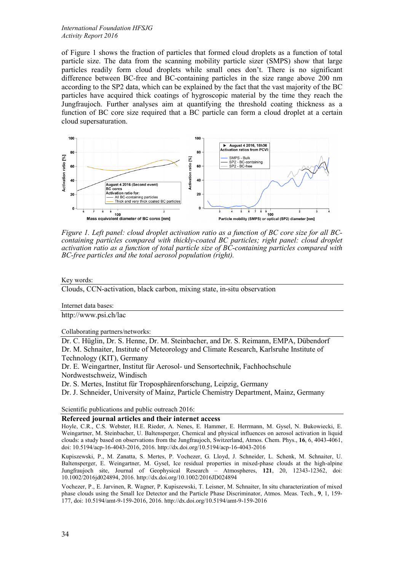*International Foundation HFSJG Activity Report 2016*

of Figure 1 shows the fraction of particles that formed cloud droplets as a function of total particle size. The data from the scanning mobility particle sizer (SMPS) show that large particles readily form cloud droplets while small ones don't. There is no significant difference between BC-free and BC-containing particles in the size range above 200 nm according to the SP2 data, which can be explained by the fact that the vast majority of the BC particles have acquired thick coatings of hygroscopic material by the time they reach the Jungfraujoch. Further analyses aim at quantifying the threshold coating thickness as a function of BC core size required that a BC particle can form a cloud droplet at a certain cloud supersaturation.



*Figure 1. Left panel: cloud droplet activation ratio as a function of BC core size for all BCcontaining particles compared with thickly-coated BC particles; right panel: cloud droplet activation ratio as a function of total particle size of BC-containing particles compared with BC-free particles and the total aerosol population (right).*

## Key words:

Clouds, CCN-activation, black carbon, mixing state, in-situ observation

Internet data bases:

http://www.psi.ch/lac

Collaborating partners/networks:

Dr. C. Hüglin, Dr. S. Henne, Dr. M. Steinbacher, and Dr. S. Reimann, EMPA, Dübendorf Dr. M. Schnaiter, Institute of Meteorology and Climate Research, Karlsruhe Institute of Technology (KIT), Germany

Dr. E. Weingartner, Institut für Aerosol- und Sensortechnik, Fachhochschule Nordwestschweiz, Windisch

Dr. S. Mertes, Institut für Troposphärenforschung, Leipzig, Germany

Dr. J. Schneider, University of Mainz, Particle Chemistry Department, Mainz, Germany

Scientific publications and public outreach 2016:

**Refereed journal articles and their internet access**

Hoyle, C.R., C.S. Webster, H.E. Rieder, A. Nenes, E. Hammer, E. Herrmann, M. Gysel, N. Bukowiecki, E. Weingartner, M. Steinbacher, U. Baltensperger, Chemical and physical influences on aerosol activation in liquid clouds: a study based on observations from the Jungfraujoch, Switzerland, Atmos. Chem. Phys., **16**, 6, 4043-4061, doi: 10.5194/acp-16-4043-2016, 2016. http://dx.doi.org/10.5194/acp-16-4043-2016

Kupiszewski, P., M. Zanatta, S. Mertes, P. Vochezer, G. Lloyd, J. Schneider, L. Schenk, M. Schnaiter, U. Baltensperger, E. Weingartner, M. Gysel, Ice residual properties in mixed-phase clouds at the high-alpine Jungfraujoch site, Journal of Geophysical Research – Atmospheres, **121**, 20, 12343-12362, doi: 10.1002/2016jd024894, 2016. http://dx.doi.org/10.1002/2016JD024894

Vochezer, P., E. Jarvinen, R. Wagner, P. Kupiszewski, T. Leisner, M. Schnaiter, In situ characterization of mixed phase clouds using the Small Ice Detector and the Particle Phase Discriminator, Atmos. Meas. Tech., **9**, 1, 159- 177, doi: 10.5194/amt-9-159-2016, 2016. http://dx.doi.org/10.5194/amt-9-159-2016